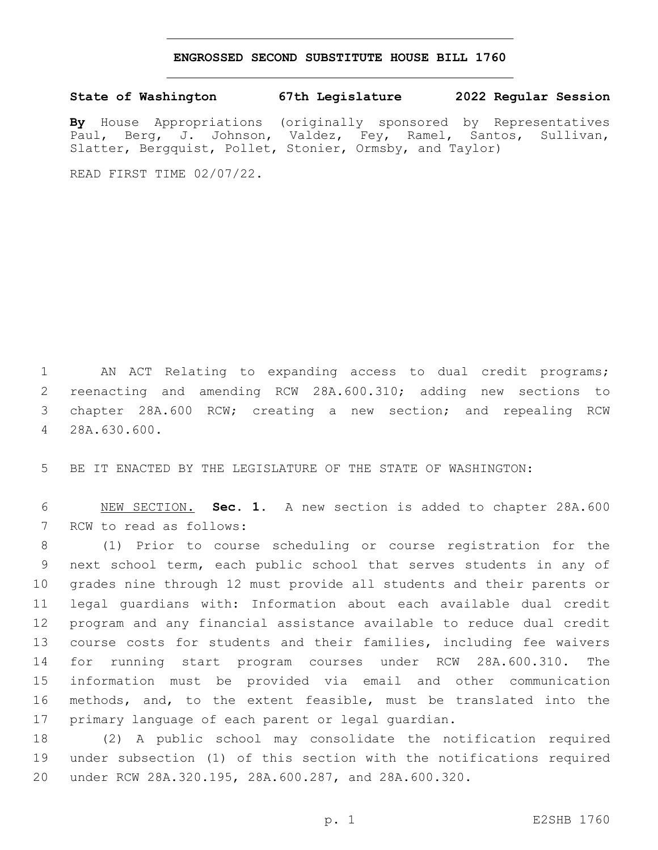## **ENGROSSED SECOND SUBSTITUTE HOUSE BILL 1760**

**State of Washington 67th Legislature 2022 Regular Session**

**By** House Appropriations (originally sponsored by Representatives Paul, Berg, J. Johnson, Valdez, Fey, Ramel, Santos, Sullivan, Slatter, Bergquist, Pollet, Stonier, Ormsby, and Taylor)

READ FIRST TIME 02/07/22.

 AN ACT Relating to expanding access to dual credit programs; reenacting and amending RCW 28A.600.310; adding new sections to chapter 28A.600 RCW; creating a new section; and repealing RCW 28A.630.600.4

BE IT ENACTED BY THE LEGISLATURE OF THE STATE OF WASHINGTON:

 NEW SECTION. **Sec. 1.** A new section is added to chapter 28A.600 7 RCW to read as follows:

 (1) Prior to course scheduling or course registration for the next school term, each public school that serves students in any of grades nine through 12 must provide all students and their parents or legal guardians with: Information about each available dual credit program and any financial assistance available to reduce dual credit course costs for students and their families, including fee waivers for running start program courses under RCW 28A.600.310. The information must be provided via email and other communication methods, and, to the extent feasible, must be translated into the primary language of each parent or legal guardian.

 (2) A public school may consolidate the notification required under subsection (1) of this section with the notifications required under RCW 28A.320.195, 28A.600.287, and 28A.600.320.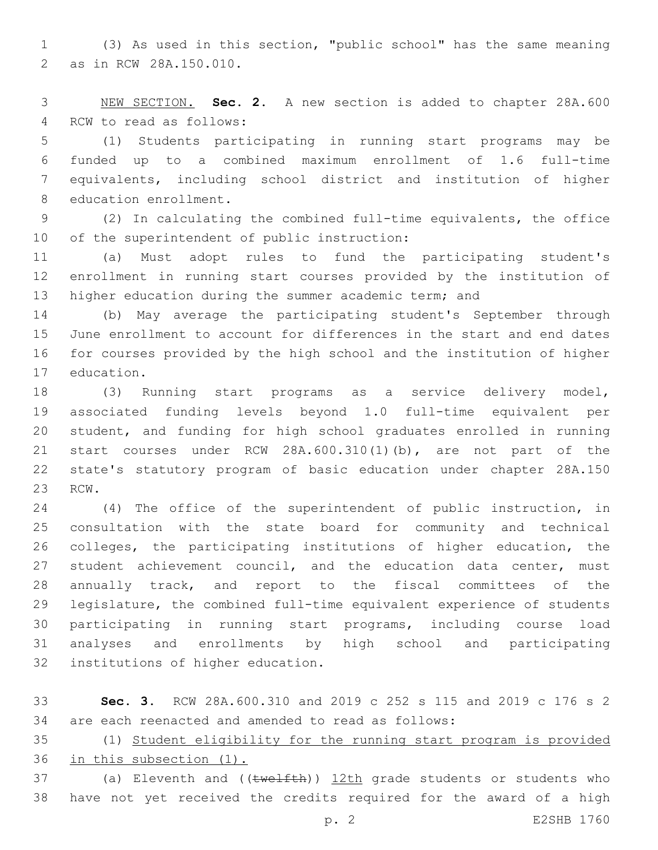(3) As used in this section, "public school" has the same meaning 2 as in RCW 28A.150.010.

 NEW SECTION. **Sec. 2.** A new section is added to chapter 28A.600 4 RCW to read as follows:

 (1) Students participating in running start programs may be funded up to a combined maximum enrollment of 1.6 full-time equivalents, including school district and institution of higher 8 education enrollment.

 (2) In calculating the combined full-time equivalents, the office 10 of the superintendent of public instruction:

 (a) Must adopt rules to fund the participating student's enrollment in running start courses provided by the institution of 13 higher education during the summer academic term; and

 (b) May average the participating student's September through June enrollment to account for differences in the start and end dates for courses provided by the high school and the institution of higher 17 education.

 (3) Running start programs as a service delivery model, associated funding levels beyond 1.0 full-time equivalent per student, and funding for high school graduates enrolled in running start courses under RCW 28A.600.310(1)(b), are not part of the state's statutory program of basic education under chapter 28A.150 23 RCW.

 (4) The office of the superintendent of public instruction, in consultation with the state board for community and technical colleges, the participating institutions of higher education, the 27 student achievement council, and the education data center, must annually track, and report to the fiscal committees of the legislature, the combined full-time equivalent experience of students participating in running start programs, including course load analyses and enrollments by high school and participating 32 institutions of higher education.

 **Sec. 3.** RCW 28A.600.310 and 2019 c 252 s 115 and 2019 c 176 s 2 are each reenacted and amended to read as follows:

 (1) Student eligibility for the running start program is provided in this subsection (1).

37 (a) Eleventh and ((twelfth)) 12th grade students or students who have not yet received the credits required for the award of a high

p. 2 E2SHB 1760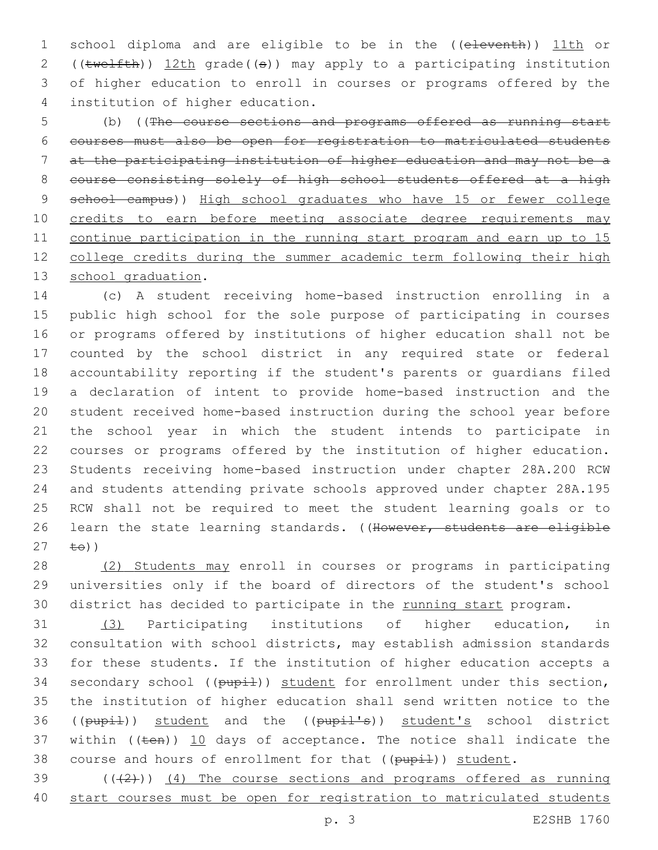school diploma and are eligible to be in the ((eleventh)) 11th or 2 ((twelfth)) 12th grade((s)) may apply to a participating institution of higher education to enroll in courses or programs offered by the institution of higher education.4

 (b) ((The course sections and programs offered as running start courses must also be open for registration to matriculated students at the participating institution of higher education and may not be a 8 course consisting solely of high school students offered at a high 9 school campus)) High school graduates who have 15 or fewer college 10 credits to earn before meeting associate degree requirements may continue participation in the running start program and earn up to 15 12 college credits during the summer academic term following their high 13 school graduation.

 (c) A student receiving home-based instruction enrolling in a public high school for the sole purpose of participating in courses or programs offered by institutions of higher education shall not be counted by the school district in any required state or federal accountability reporting if the student's parents or guardians filed a declaration of intent to provide home-based instruction and the student received home-based instruction during the school year before the school year in which the student intends to participate in courses or programs offered by the institution of higher education. Students receiving home-based instruction under chapter 28A.200 RCW and students attending private schools approved under chapter 28A.195 RCW shall not be required to meet the student learning goals or to 26 learn the state learning standards. ((However, students are eligible  $27 \pm 0)$ 

 (2) Students may enroll in courses or programs in participating universities only if the board of directors of the student's school 30 district has decided to participate in the running start program.

 (3) Participating institutions of higher education, in consultation with school districts, may establish admission standards for these students. If the institution of higher education accepts a 34 secondary school ((pupil)) student for enrollment under this section, the institution of higher education shall send written notice to the 36 ((pupil)) student and the ((pupil's)) student's school district 37 within  $((\text{ten}))$  10 days of acceptance. The notice shall indicate the 38 course and hours of enrollment for that  $((\text{pupi-1}))$  student.

39 (((2))) (4) The course sections and programs offered as running start courses must be open for registration to matriculated students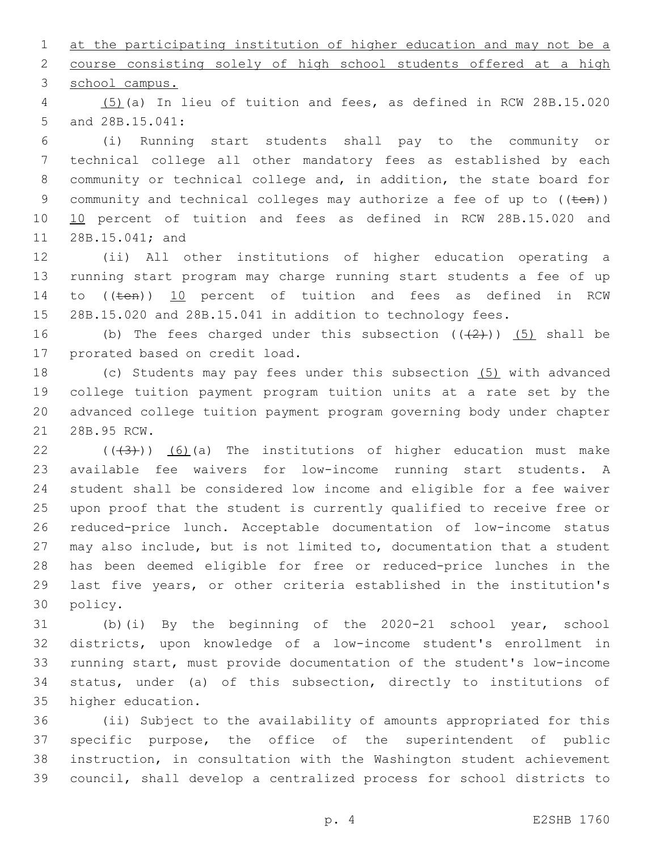at the participating institution of higher education and may not be a course consisting solely of high school students offered at a high

3 school campus.

 (5)(a) In lieu of tuition and fees, as defined in RCW 28B.15.020 5 and 28B.15.041:

 (i) Running start students shall pay to the community or technical college all other mandatory fees as established by each community or technical college and, in addition, the state board for 9 community and technical colleges may authorize a fee of up to ((ten)) 10 10 percent of tuition and fees as defined in RCW 28B.15.020 and 11 28B.15.041; and

 (ii) All other institutions of higher education operating a running start program may charge running start students a fee of up 14 to ((ten)) 10 percent of tuition and fees as defined in RCW 28B.15.020 and 28B.15.041 in addition to technology fees.

16 (b) The fees charged under this subsection  $((+2))$  (5) shall be 17 prorated based on credit load.

 (c) Students may pay fees under this subsection (5) with advanced college tuition payment program tuition units at a rate set by the advanced college tuition payment program governing body under chapter 21 28B.95 RCW.

 $((+3+))$   $(6)$  (a) The institutions of higher education must make available fee waivers for low-income running start students. A student shall be considered low income and eligible for a fee waiver upon proof that the student is currently qualified to receive free or reduced-price lunch. Acceptable documentation of low-income status may also include, but is not limited to, documentation that a student has been deemed eligible for free or reduced-price lunches in the last five years, or other criteria established in the institution's 30 policy.

 (b)(i) By the beginning of the 2020-21 school year, school districts, upon knowledge of a low-income student's enrollment in running start, must provide documentation of the student's low-income status, under (a) of this subsection, directly to institutions of 35 higher education.

 (ii) Subject to the availability of amounts appropriated for this specific purpose, the office of the superintendent of public instruction, in consultation with the Washington student achievement council, shall develop a centralized process for school districts to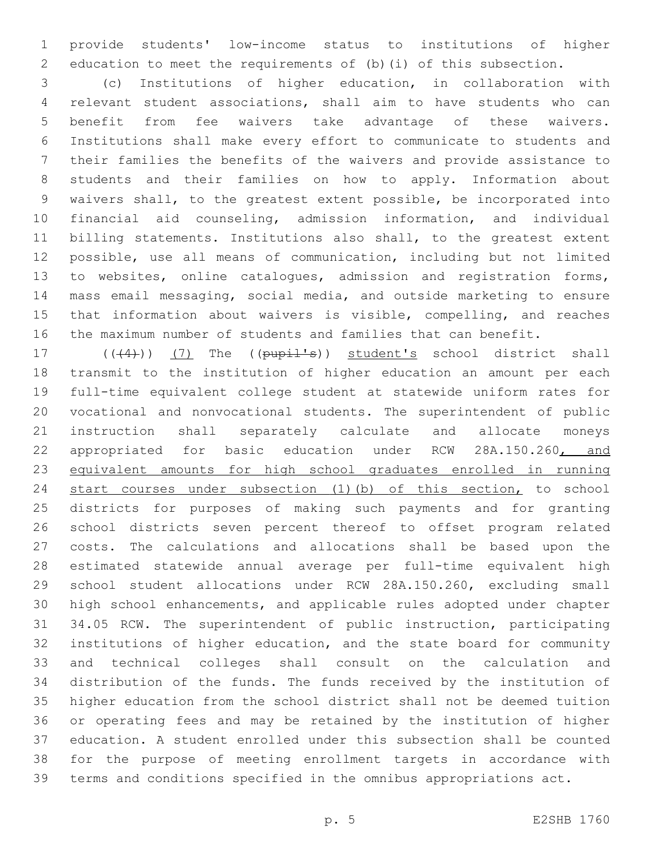provide students' low-income status to institutions of higher education to meet the requirements of (b)(i) of this subsection.

 (c) Institutions of higher education, in collaboration with relevant student associations, shall aim to have students who can benefit from fee waivers take advantage of these waivers. Institutions shall make every effort to communicate to students and their families the benefits of the waivers and provide assistance to students and their families on how to apply. Information about waivers shall, to the greatest extent possible, be incorporated into financial aid counseling, admission information, and individual billing statements. Institutions also shall, to the greatest extent possible, use all means of communication, including but not limited to websites, online catalogues, admission and registration forms, mass email messaging, social media, and outside marketing to ensure that information about waivers is visible, compelling, and reaches the maximum number of students and families that can benefit.

17 (((4))) (7) The ((pupil's)) student's school district shall transmit to the institution of higher education an amount per each full-time equivalent college student at statewide uniform rates for vocational and nonvocational students. The superintendent of public instruction shall separately calculate and allocate moneys 22 appropriated for basic education under RCW 28A.150.260, and equivalent amounts for high school graduates enrolled in running start courses under subsection (1)(b) of this section, to school districts for purposes of making such payments and for granting school districts seven percent thereof to offset program related costs. The calculations and allocations shall be based upon the estimated statewide annual average per full-time equivalent high school student allocations under RCW 28A.150.260, excluding small high school enhancements, and applicable rules adopted under chapter 34.05 RCW. The superintendent of public instruction, participating institutions of higher education, and the state board for community and technical colleges shall consult on the calculation and distribution of the funds. The funds received by the institution of higher education from the school district shall not be deemed tuition or operating fees and may be retained by the institution of higher education. A student enrolled under this subsection shall be counted for the purpose of meeting enrollment targets in accordance with terms and conditions specified in the omnibus appropriations act.